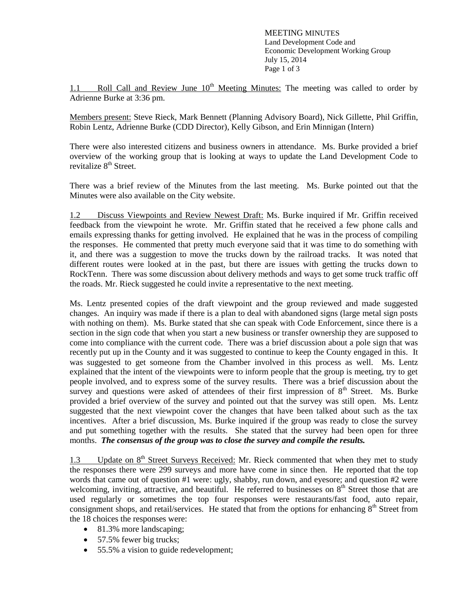MEETING MINUTES Land Development Code and Economic Development Working Group July 15, 2014 Page 1 of 3

1.1 Roll Call and Review June  $10<sup>th</sup>$  Meeting Minutes: The meeting was called to order by Adrienne Burke at 3:36 pm.

Members present: Steve Rieck, Mark Bennett (Planning Advisory Board), Nick Gillette, Phil Griffin, Robin Lentz, Adrienne Burke (CDD Director), Kelly Gibson, and Erin Minnigan (Intern)

There were also interested citizens and business owners in attendance. Ms. Burke provided a brief overview of the working group that is looking at ways to update the Land Development Code to revitalize 8<sup>th</sup> Street.

There was a brief review of the Minutes from the last meeting. Ms. Burke pointed out that the Minutes were also available on the City website.

1.2 Discuss Viewpoints and Review Newest Draft: Ms. Burke inquired if Mr. Griffin received feedback from the viewpoint he wrote. Mr. Griffin stated that he received a few phone calls and emails expressing thanks for getting involved. He explained that he was in the process of compiling the responses. He commented that pretty much everyone said that it was time to do something with it, and there was a suggestion to move the trucks down by the railroad tracks. It was noted that different routes were looked at in the past, but there are issues with getting the trucks down to RockTenn. There was some discussion about delivery methods and ways to get some truck traffic off the roads. Mr. Rieck suggested he could invite a representative to the next meeting.

Ms. Lentz presented copies of the draft viewpoint and the group reviewed and made suggested changes. An inquiry was made if there is a plan to deal with abandoned signs (large metal sign posts with nothing on them). Ms. Burke stated that she can speak with Code Enforcement, since there is a section in the sign code that when you start a new business or transfer ownership they are supposed to come into compliance with the current code. There was a brief discussion about a pole sign that was recently put up in the County and it was suggested to continue to keep the County engaged in this. It was suggested to get someone from the Chamber involved in this process as well. Ms. Lentz explained that the intent of the viewpoints were to inform people that the group is meeting, try to get people involved, and to express some of the survey results. There was a brief discussion about the survey and questions were asked of attendees of their first impression of  $8<sup>th</sup>$  Street. Ms. Burke provided a brief overview of the survey and pointed out that the survey was still open. Ms. Lentz suggested that the next viewpoint cover the changes that have been talked about such as the tax incentives. After a brief discussion, Ms. Burke inquired if the group was ready to close the survey and put something together with the results. She stated that the survey had been open for three months. *The consensus of the group was to close the survey and compile the results.*

1.3 Update on  $8<sup>th</sup>$  Street Surveys Received: Mr. Rieck commented that when they met to study the responses there were 299 surveys and more have come in since then. He reported that the top words that came out of question #1 were: ugly, shabby, run down, and eyesore; and question #2 were welcoming, inviting, attractive, and beautiful. He referred to businesses on  $8<sup>th</sup>$  Street those that are used regularly or sometimes the top four responses were restaurants/fast food, auto repair, consignment shops, and retail/services. He stated that from the options for enhancing 8<sup>th</sup> Street from the 18 choices the responses were:

- 81.3% more landscaping:
- 57.5% fewer big trucks;
- 55.5% a vision to guide redevelopment;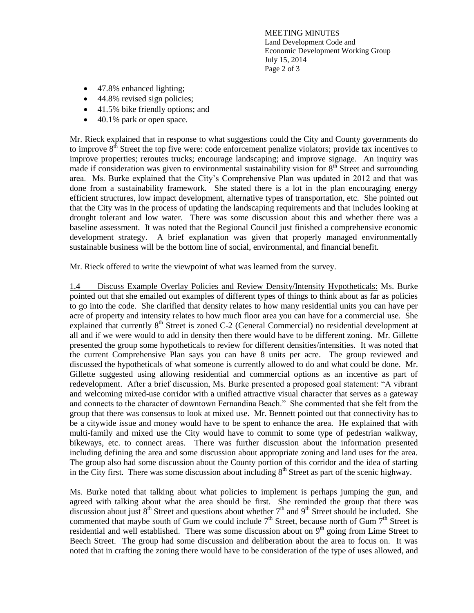MEETING MINUTES Land Development Code and Economic Development Working Group July 15, 2014 Page 2 of 3

- 47.8% enhanced lighting;
- 44.8% revised sign policies;
- 41.5% bike friendly options; and
- 40.1% park or open space.

Mr. Rieck explained that in response to what suggestions could the City and County governments do to improve  $8<sup>th</sup>$  Street the top five were: code enforcement penalize violators; provide tax incentives to improve properties; reroutes trucks; encourage landscaping; and improve signage. An inquiry was made if consideration was given to environmental sustainability vision for  $8<sup>th</sup>$  Street and surrounding area. Ms. Burke explained that the City's Comprehensive Plan was updated in 2012 and that was done from a sustainability framework. She stated there is a lot in the plan encouraging energy efficient structures, low impact development, alternative types of transportation, etc. She pointed out that the City was in the process of updating the landscaping requirements and that includes looking at drought tolerant and low water. There was some discussion about this and whether there was a baseline assessment. It was noted that the Regional Council just finished a comprehensive economic development strategy. A brief explanation was given that properly managed environmentally sustainable business will be the bottom line of social, environmental, and financial benefit.

Mr. Rieck offered to write the viewpoint of what was learned from the survey.

1.4 Discuss Example Overlay Policies and Review Density/Intensity Hypotheticals: Ms. Burke pointed out that she emailed out examples of different types of things to think about as far as policies to go into the code. She clarified that density relates to how many residential units you can have per acre of property and intensity relates to how much floor area you can have for a commercial use. She explained that currently 8<sup>th</sup> Street is zoned C-2 (General Commercial) no residential development at all and if we were would to add in density then there would have to be different zoning. Mr. Gillette presented the group some hypotheticals to review for different densities/intensities. It was noted that the current Comprehensive Plan says you can have 8 units per acre. The group reviewed and discussed the hypotheticals of what someone is currently allowed to do and what could be done. Mr. Gillette suggested using allowing residential and commercial options as an incentive as part of redevelopment. After a brief discussion, Ms. Burke presented a proposed goal statement: "A vibrant and welcoming mixed-use corridor with a unified attractive visual character that serves as a gateway and connects to the character of downtown Fernandina Beach." She commented that she felt from the group that there was consensus to look at mixed use. Mr. Bennett pointed out that connectivity has to be a citywide issue and money would have to be spent to enhance the area. He explained that with multi-family and mixed use the City would have to commit to some type of pedestrian walkway, bikeways, etc. to connect areas. There was further discussion about the information presented including defining the area and some discussion about appropriate zoning and land uses for the area. The group also had some discussion about the County portion of this corridor and the idea of starting in the City first. There was some discussion about including  $8<sup>th</sup>$  Street as part of the scenic highway.

Ms. Burke noted that talking about what policies to implement is perhaps jumping the gun, and agreed with talking about what the area should be first. She reminded the group that there was discussion about just  $8^{th}$  Street and questions about whether  $7^{th}$  and  $9^{th}$  Street should be included. She commented that maybe south of Gum we could include  $7<sup>th</sup>$  Street, because north of Gum  $7<sup>th</sup>$  Street is residential and well established. There was some discussion about on  $9<sup>th</sup>$  going from Lime Street to Beech Street. The group had some discussion and deliberation about the area to focus on. It was noted that in crafting the zoning there would have to be consideration of the type of uses allowed, and